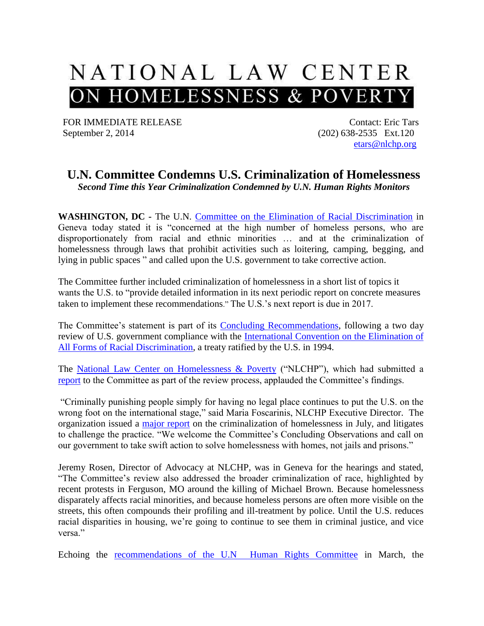

FOR IMMEDIATE RELEASE September 2, 2014

Contact: Eric Tars (202) 638-2535 Ext.120 [etars@nlchp.org](mailto:etars@nlchp.org)

## **U.N. Committee Condemns U.S. Criminalization of Homelessness** *Second Time this Year Criminalization Condemned by U.N. Human Rights Monitors*

**WASHINGTON, DC -** The U.N. [Committee on the Elimination of Racial Discrimination](http://www.ohchr.org/EN/HRBodies/CERD/Pages/CERDIndex.aspx) in Geneva today stated it is "concerned at the high number of homeless persons, who are disproportionately from racial and ethnic minorities … and at the criminalization of homelessness through laws that prohibit activities such as loitering, camping, begging, and lying in public spaces " and called upon the U.S. government to take corrective action.

The Committee further included criminalization of homelessness in a short list of topics it wants the U.S. to "provide detailed information in its next periodic report on concrete measures taken to implement these recommendations." The U.S.'s next report is due in 2017.

The Committee's statement is part of its [Concluding Recommendations,](http://tbinternet.ohchr.org/_layouts/treatybodyexternal/SessionDetails1.aspx?SessionID=936&Lang=en) following a two day review of U.S. government compliance with the [International Convention on the Elimination of](http://www.ohchr.org/EN/ProfessionalInterest/Pages/CERD.aspx)  [All Forms of Racial Discrimination,](http://www.ohchr.org/EN/ProfessionalInterest/Pages/CERD.aspx) a treaty ratified by the U.S. in 1994.

The [National Law Center on Homelessness & Poverty](http://www.nlchp.org/Home%20Page) ("NLCHP"), which had submitted a [report](http://nlchp.org/CERD_Housing_Report_2014.pdf) to the Committee as part of the review process, applauded the Committee's findings.

"Criminally punishing people simply for having no legal place continues to put the U.S. on the wrong foot on the international stage," said Maria Foscarinis, NLCHP Executive Director. The organization issued a [major report](http://nlchp.org/documents/No_Safe_Place) on the criminalization of homelessness in July, and litigates to challenge the practice. "We welcome the Committee's Concluding Observations and call on our government to take swift action to solve homelessness with homes, not jails and prisons."

Jeremy Rosen, Director of Advocacy at NLCHP, was in Geneva for the hearings and stated, "The Committee's review also addressed the broader criminalization of race, highlighted by recent protests in Ferguson, MO around the killing of Michael Brown. Because homelessness disparately affects racial minorities, and because homeless persons are often more visible on the streets, this often compounds their profiling and ill-treatment by police. Until the U.S. reduces racial disparities in housing, we're going to continue to see them in criminal justice, and vice versa<sup>"</sup>

Echoing the [recommendations of the U.N Human Rights Committee](http://nlchp.org/U.N._Human_Rights_Committee_Calls_U.S._Criminalization_of_Homelessness_Cruel,_Inhuman,_and_Degrading.pdf) in March, the